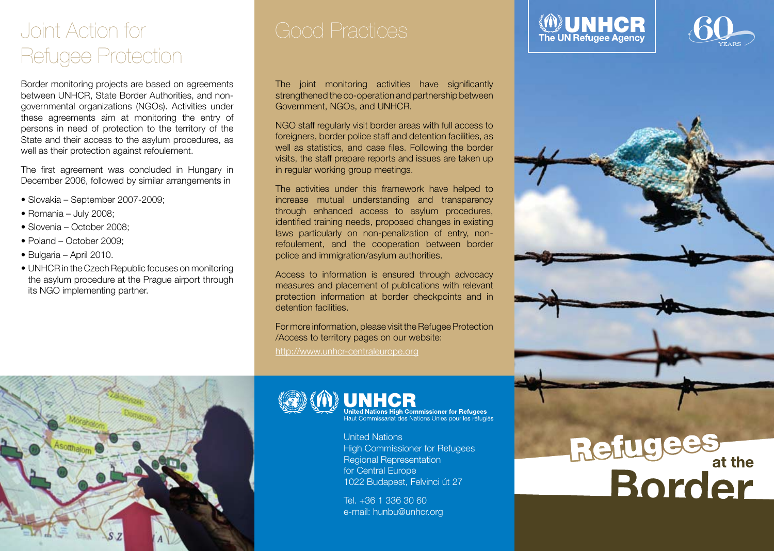## Joint Action for Refugee Protection

Border monitoring projects are based on agreements between UNHCR, State Border Authorities, and nongovernmental organizations (NGOs). Activities under these agreements aim at monitoring the entry of persons in need of protection to the territory of the State and their access to the asylum procedures, as well as their protection against refoulement.

The first agreement was concluded in Hungary in December 2006, followed by similar arrangements in

- Slovakia September 2007-2009;
- Romania July 2008;
- Slovenia October 2008;
- Poland October 2009;
- Bulgaria April 2010.
- UNHCR in the Czech Republic focuses on monitoring the asylum procedure at the Prague airport through its NGO implementing partner.

The joint monitoring activities have significantly strengthened the co-operation and partnership between Government, NGOs, and UNHCR.

NGO staff regularly visit border areas with full access to foreigners, border police staff and detention facilities, as well as statistics, and case files. Following the border visits, the staff prepare reports and issues are taken up in regular working group meetings.

The activities under this framework have helped to increase mutual understanding and transparency through enhanced access to asylum procedures, identified training needs, proposed changes in existing laws particularly on non-penalization of entry, nonrefoulement, and the cooperation between border police and immigration/asylum authorities.

Access to information is ensured through advocacy measures and placement of publications with relevant protection information at border checkpoints and in detention facilities.

For more information, please visit the Refugee Protection /Access to territory pages on our website: http://www.unhcr-centraleurope.org





United Nations High Commissioner for Refugees<br>Haut Commissariat des Nations Unies pour les réfugiés

United Nations High Commissioner for Refugees Regional Representation for Central Europe 1022 Budapest, Felvinci út 27

Tel. +36 1 336 30 60 e-mail: hunbu@unhcr.org

# Refugees<br>Border





**MUNHCR**<br>The UN Refugee Agency